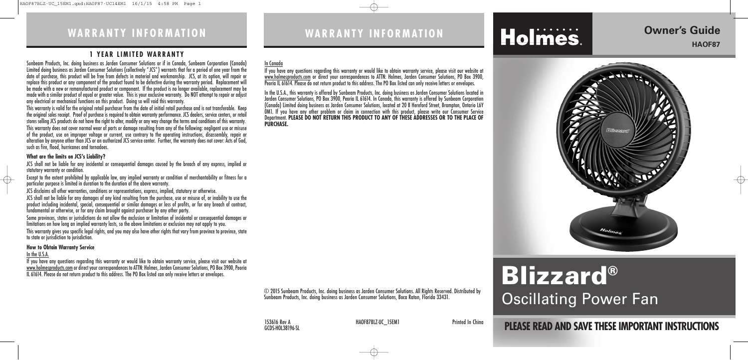# **WA R R A N T Y I N F O R M AT I O N**

# **PLEASE READ AND SAVE THESEIMPORTANT INSTRUCTIONS**

# **Owner's Guide HAOF87**



153616 Rev A **HAOF87BLZ-UC\_15EM1** Printed In China GCDS-HOL38196-SL



# **WA R R A N T Y I N F O R M AT I O N**

# **Blizzard®** Oscillating Power Fan

© 2015 Sunbeam Products, Inc. doing business as Jarden Consumer Solutions. All Rights Reserved. Distributed by Sunbeam Products, Inc. doing business as Jarden Consumer Solutions, Boca Raton, Florida 33431.

## **1 Y E A R LI M I T E D WA R R A N T Y**

Sunbeam Products, Inc. doing business as Jarden Consumer Solutions or if in Canada, Sunbeam Corporation (Canada) Limited doing business as Jarden Consumer Solutions (collectively "JCS") warrants that for a period of one year from the date of purchase, this product will be free from defects in material and workmanship. JCS, at its option, will repair or replace this product or any component of the product found to be defective during the warranty period. Replacement will be made with a new or remanufactured product or component. If the product is no longer available, replacement may be made with a similar product of equal or greater value. This is your exclusive warranty. Do NOT attempt to repair or adjust any electrical or mechanical functions on this product. Doing so will void this warranty.

JCS shall not be liable for any incidental or consequential damages caused by the breach of any express, implied or statutory warranty or condition.

This warranty is valid for the original retail purchaser from the date of initial retail purchase and is not transferable. Keep the original sales receipt. Proof of purchase is required to obtain warranty performance. JCS dealers, service centers, or retail stores selling JCS products do not have the right to alter, modify or any way change the terms and conditions of this warranty. This warranty does not cover normal wear of parts or damage resulting from any of the following: negligent use or misuse of the product, use on improper voltage or current, use contrary to the operating instructions, disassembly, repair or alteration by anyone other than JCS or an authorized JCS service center. Further, the warranty does not cover: Acts of God, such as fire, flood, hurricanes and tornadoes.

## **What are the limits on JCS's Liability?**

Except to the extent prohibited by applicable law, any implied warranty or condition of merchantability or fitness for a particular purpose is limited in duration to the duration of the above warranty.

JCS disclaims all other warranties, conditions or representations, express, implied, statutory or otherwise.

JCS shall not be liable for any damages of any kind resulting from the purchase, use or misuse of, or inability to use the product including incidental, special, consequential or similar damages or loss of profits, or for any breach of contract, fundamental or otherwise, or for any claim brought against purchaser by any other party.

Some provinces, states or jurisdictions do not allow the exclusion or limitation of incidental or consequential damages or limitations on how long an implied warranty lasts, so the above limitations or exclusion may not apply to you.

This warranty gives you specific legal rights, and you may also have other rights that vary from province to province, state to state or jurisdiction to jurisdiction.

## **How to Obtain Warranty Service**

### In the U.S.A.

If you have any questions regarding this warranty or would like to obtain warranty service, please visit our website at <u>www.holmesproducts.com</u> or direct your correspondences to ATTN: Holmes, Jarden Consumer Solutions, PO Box 3900, Peoria IL 61614. Please do not return product to this address. The PO Box listed can only receive letters or envelopes.

## In Canada

If you have any questions regarding this warranty or would like to obtain warranty service, please visit our website at www.holmesproducts.com or direct your correspondences to ATTN: Holmes, Jarden Consumer Solutions, PO Box 3900, Peoria IL 61614. Please do not return product to this address. The PO Box listed can only receive letters or envelopes.

In the U.S.A., this warranty is offered by Sunbeam Products, Inc. doing business as Jarden Consumer Solutions located in Jarden Consumer Solutions, PO Box 3900, Peoria IL 61614. In Canada, this warranty is offered by Sunbeam Corporation (Canada) Limited doing business as Jarden Consumer Solutions, located at 20 B Hereford Street, Brampton, Ontario L6Y 0M1. If you have any other problem or claim in connection with this product, please write our Consumer Service Department. **PLEASE DO NOT RETURN THIS PRODUCT TO ANY OF THESE ADDRESSES OR TO THE PLACE OF PURCHASE.**